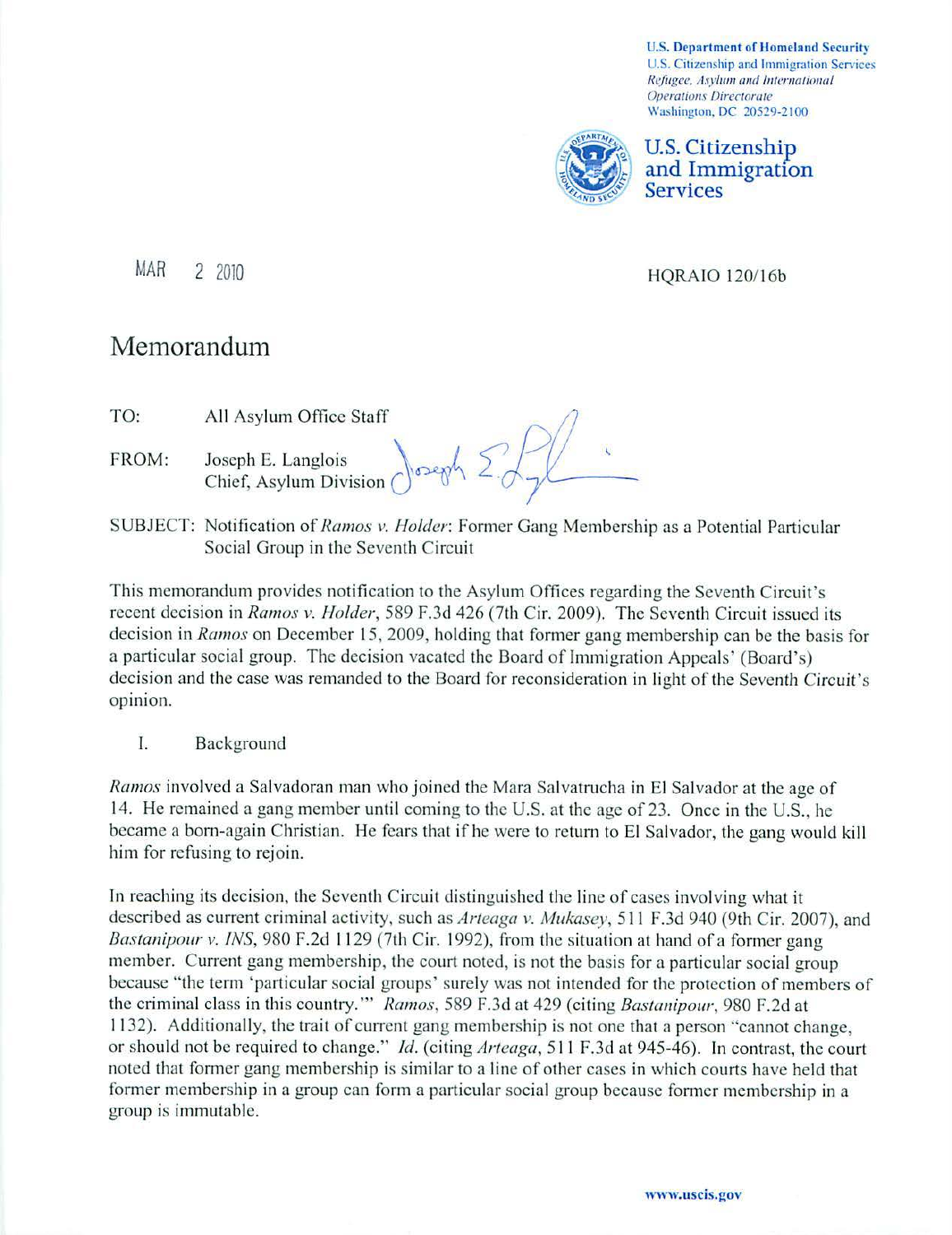**U.S. Department of Homeland Security** U.S. Citizenship and Immigration Services *Refugee. Asylum and International* **Operations Directorate** Washington. DC 20529-2100



U.S. Citizenship and Immigration Services

MAR 2 2010 HORAIO 120/16b

## Memorandum

- TO: All Asylum Office Staff
- FROM: Joseph E. Langlois  $\bigcap_{n\geq 0} \bigcap_{n\geq 0} \bigcap_{n\geq 0} \bigcap_{n\geq 0} \bigcap_{n\geq 0} \bigcap_{n\geq 0} \bigcap_{n\geq 0} \bigcap_{n\geq 0} \bigcap_{n\geq 0} \bigcap_{n\geq 0} \bigcap_{n\geq 0} \bigcap_{n\geq 0} \bigcap_{n\geq 0} \bigcap_{n\geq 0} \bigcap_{n\geq 0} \bigcap_{n\geq 0} \bigcap_{n\geq 0} \bigcap_{n\geq$ Chief, Asylum Division
- SUBJECT: Notification of*Ramos v. Holder:* Fonner Gang Membership as a Potential Particular Social Group in the Seventh Circuit

This memorandum provides notification to the Asylum Offices regarding the Seventh Circuit's recent decision in *Ramos v. Holder,* 589 F.3d 426 (7th Cir. 2009). The Seventh Circuit issued its decision in *Ramos* on December 15, 2009, holding that former gang membership can be the basis for a particular social group. The decision vacated the Board of Immigration Appeals' (Board's) decision and the case was remanded to the Board for reconsideration in light of the Seventh Circuit's opinion.

I. Background

*Ramos* involved a Salvadoran man who joined the Mara Salvatrucha in El Salvador at the age of 14. He remained a gang member until coming to the U.S. at the age of 23. Once in the U.S., he became a born-again Christian. He fears that if he were to return to El Salvador, the gang would kill him for refusing to rejoin.

In reaching its decision, the Seventh Circuit distinguished the line of cases involving what it described as current criminal activity, such as *Arteaga v. Mukasey*, 511 F.3d 940 (9th Cir. 2007), and *Bastanipour v. INS*, 980 F.2d 1129 (7th Cir. 1992), from the situation at hand of a former gang member. Current gang membership, the court noted, is not the basis for a particular social group because "the term 'particular social groups' surely was not intended for the protection of members of the criminal class in this country."" *Ramos*, 589 F.3d at 429 (citing *Bastanipour*, 980 F.2d at 1132). Additionally, the trait of current gang membership is not one that a person "cannot change, or should not be required to change." *Id.* (citing *Arteaga,* 5 11 F.3d at 945-46). In contrast, the court noted that former gang membership is similar to a line of other cases in which courts have held that former membership in a group can form a particular social group because fonner membership in a group is immutable.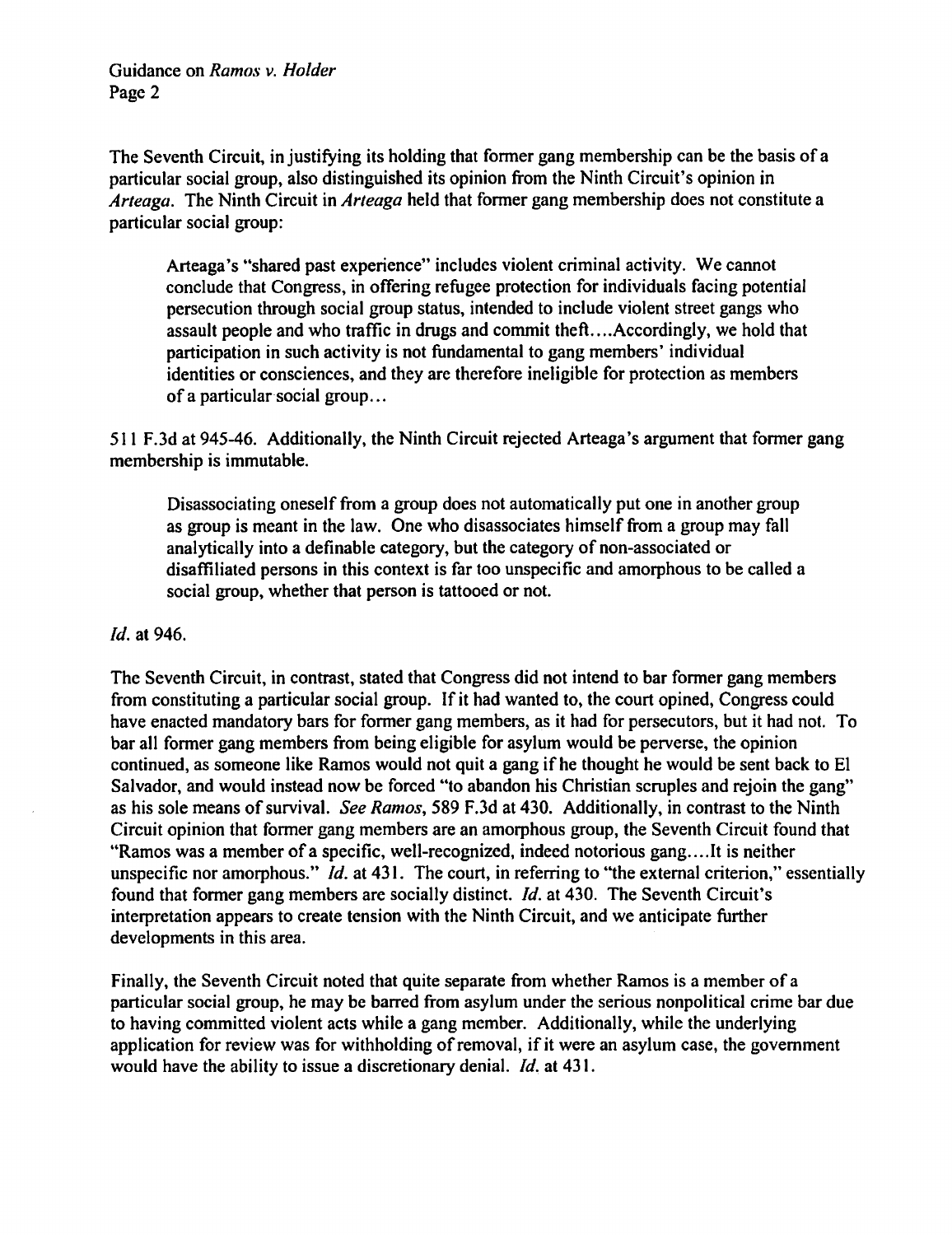Guidance on *Ramos v. Holder*  Page 2

The Seventh Circuit, in justifying its holding that former gang membership can be the basis of a particular social group, also distinguished its opinion from the Ninth Circuit's opinion in *Arteaga.* The Ninth Circuit in *Arteaga* held that fonner gang membership does not constitute a particular social group:

Arteaga's "shared past experience" includes violent criminal activity. We cannot conclude that Congress, in offering refugee protection for individuals facing potential persecution through social group status, intended to include violent street gangs who assault people and who traffic in drugs and commit theft....Accordingly, we hold that participation in such activity is not fundamental to gang members' individual identities or consciences, and they are therefore ineligible for protection as members of a particular social group...

511 F.3d at 945-46. Additionally, the Ninth Circuit rejected Arteaga 's argument that fonner gang membership is immutable.

Disassociating oneself from a group does not automatically put one in another group as group is meant in the law. One who disassociates himself from a group may fall analytically into a definable category, but the category of non-associated or disaffiliated persons in this context is far too unspecific and amorphous to be called a social group, whether that person is tattooed or not.

## *Id.* at 946.

The Seventh Circuit, in contrast, stated that Congress did not intend to bar fonner gang members from constituting a particular social group. If it had wanted to, the court opined, Congress could have enacted mandatory bars for former gang members, as it had for persecutors, but it had not. To bar all fonner gang members from being eligible for asylum would be perverse, the opinion continued, as someone like Ramos would not quit a gang if he thought he would be sent back to El Salvador, and would instead now be forced "to abandon his Christian scruples and rejoin the gang" as his sole means of survival. *See Ramos,* 589 F.3d at 430. Additionally, in contrast to the Ninth Circuit opinion that fonner gang members are an amorphous group, the Seventh Circuit found that "Ramos was a member of a specific, well-recognized, indeed notorious gang....It is neither unspecific nor amorphous." *Id.* at 431. The court, in referring to "the external criterion," essentially found that former gang members are socially distinct. Id. at 430. The Seventh Circuit's interpretation appears to create tension with the Ninth Circuit, and we anticipate further developments in this area.

Finally, the Seventh Circuit noted that quite separate from whether Ramos is a member of a particular social group, he may be barred from asylum under the serious nonpolitical crime bar due to having committed violent acts while a gang member. Additionally, while the underlying application for review was for withholding of removal, if it were an asylum case, the government would have the ability to issue a discretionary denial. *Id.* at 431.